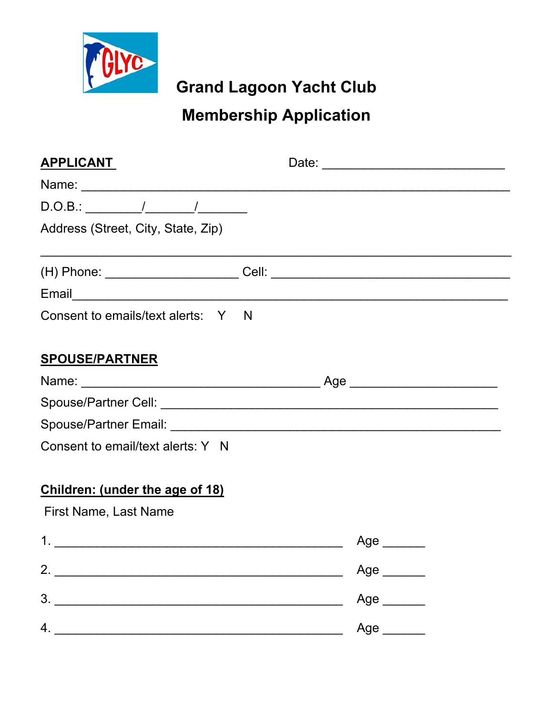

**Grand Lagoon Yacht Club** 

# **Membership Application**

| <b>APPLICANT</b>                       |  |            |  |
|----------------------------------------|--|------------|--|
|                                        |  |            |  |
|                                        |  |            |  |
| Address (Street, City, State, Zip)     |  |            |  |
|                                        |  |            |  |
|                                        |  |            |  |
| Consent to emails/text alerts: Y N     |  |            |  |
| <b>SPOUSE/PARTNER</b>                  |  |            |  |
|                                        |  |            |  |
|                                        |  |            |  |
|                                        |  |            |  |
| Consent to email/text alerts: Y N      |  |            |  |
| <b>Children: (under the age of 18)</b> |  |            |  |
| First Name, Last Name                  |  |            |  |
|                                        |  | Age ______ |  |
|                                        |  | Age $\_\_$ |  |
| 3.                                     |  | Age $\_\_$ |  |
| 4.                                     |  | Age ______ |  |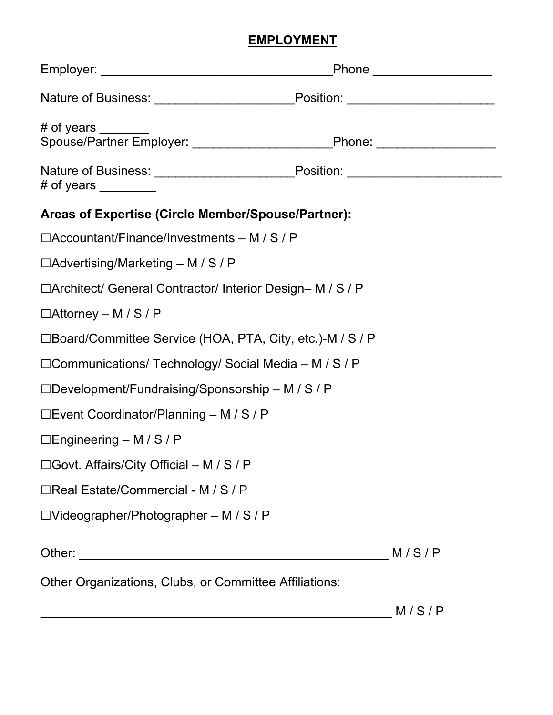## **EMPLOYMENT**

| Nature of Business: _______________________________Position: ___________________                                                 |       |  |  |  |
|----------------------------------------------------------------------------------------------------------------------------------|-------|--|--|--|
| # of years _______                                                                                                               |       |  |  |  |
| Nature of Business: ______________________________Position: ____________________<br># of years $\frac{1}{\sqrt{1-\frac{1}{2}}}\$ |       |  |  |  |
| Areas of Expertise (Circle Member/Spouse/Partner):                                                                               |       |  |  |  |
| $\Box$ Accountant/Finance/Investments – M / S / P                                                                                |       |  |  |  |
| $\Box$ Advertising/Marketing – M / S / P                                                                                         |       |  |  |  |
| □Architect/ General Contractor/ Interior Design- M / S / P                                                                       |       |  |  |  |
| $\Box$ Attorney – M / S / P                                                                                                      |       |  |  |  |
| □Board/Committee Service (HOA, PTA, City, etc.)-M / S / P                                                                        |       |  |  |  |
| □ Communications/ Technology/ Social Media – M / S / P                                                                           |       |  |  |  |
| $\Box$ Development/Fundraising/Sponsorship – M / S / P                                                                           |       |  |  |  |
| $\Box$ Event Coordinator/Planning – M / S / P                                                                                    |       |  |  |  |
| $\Box$ Engineering – M / S / P                                                                                                   |       |  |  |  |
| □ Govt. Affairs/City Official – M / S / P                                                                                        |       |  |  |  |
| □Real Estate/Commercial - M / S / P                                                                                              |       |  |  |  |
| $\Box$ Videographer/Photographer – M / S / P                                                                                     |       |  |  |  |
|                                                                                                                                  | M/S/P |  |  |  |
| Other Organizations, Clubs, or Committee Affiliations:                                                                           |       |  |  |  |

\_\_\_\_\_\_\_\_\_\_\_\_\_\_\_\_\_\_\_\_\_\_\_\_\_\_\_\_\_\_\_\_\_\_\_\_\_\_\_\_\_\_\_\_\_\_\_\_\_\_ M / S / P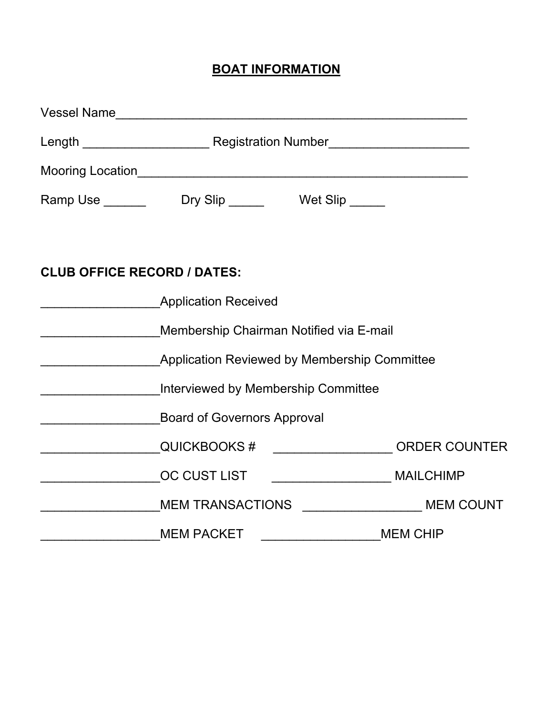## **BOAT INFORMATION**

|                                     | Ramp Use ______________Dry Slip _____________Wet Slip _______                                                                                                                                                                  |  |                 |  |
|-------------------------------------|--------------------------------------------------------------------------------------------------------------------------------------------------------------------------------------------------------------------------------|--|-----------------|--|
|                                     |                                                                                                                                                                                                                                |  |                 |  |
| <b>CLUB OFFICE RECORD / DATES:</b>  |                                                                                                                                                                                                                                |  |                 |  |
|                                     | <b>Application Received</b>                                                                                                                                                                                                    |  |                 |  |
|                                     | Membership Chairman Notified via E-mail                                                                                                                                                                                        |  |                 |  |
|                                     | <b>Application Reviewed by Membership Committee</b>                                                                                                                                                                            |  |                 |  |
| Interviewed by Membership Committee |                                                                                                                                                                                                                                |  |                 |  |
|                                     | <b>Board of Governors Approval</b>                                                                                                                                                                                             |  |                 |  |
|                                     | QUICKBOOKS # _____________________ORDER COUNTER                                                                                                                                                                                |  |                 |  |
|                                     | OC CUST LIST ____________________________ MAILCHIMP                                                                                                                                                                            |  |                 |  |
|                                     | MEM TRANSACTIONS ______________________MEM COUNT                                                                                                                                                                               |  |                 |  |
|                                     | MEM PACKET NAMES AND THE RESERVE TO A RESERVE THE RESERVE TO A REPORT OF THE RESERVE THAT A REPORT OF THE RESERVE THAT A REPORT OF THE RESERVE THAT A REPORT OF THE REPORT OF THE REPORT OF THE REPORT OF THE REPORT OF THE RE |  | <b>MEM CHIP</b> |  |